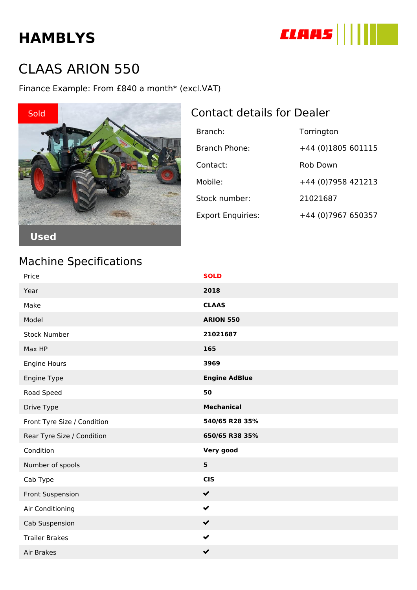# **HAMBLYS**



## CLAAS ARION 550

Finance Example: From £840 a month\* (excl.VAT)



| Branch:                  | Torrington          |
|--------------------------|---------------------|
| Branch Phone:            | +44 (0)1805 601115  |
| Contact:                 | Rob Down            |
| Mobile:                  | +44 (0) 7958 421213 |
| Stock number:            | 21021687            |
| <b>Export Enquiries:</b> | +44 (0) 7967 650357 |

**Used**

### Machine Specifications

| Price                       | <b>SOLD</b>          |
|-----------------------------|----------------------|
| Year                        | 2018                 |
| Make                        | <b>CLAAS</b>         |
| Model                       | <b>ARION 550</b>     |
| <b>Stock Number</b>         | 21021687             |
| Max HP                      | 165                  |
| Engine Hours                | 3969                 |
| Engine Type                 | <b>Engine AdBlue</b> |
| Road Speed                  | 50                   |
| Drive Type                  | <b>Mechanical</b>    |
| Front Tyre Size / Condition | 540/65 R28 35%       |
| Rear Tyre Size / Condition  | 650/65 R38 35%       |
| Condition                   | Very good            |
| Number of spools            | $5\phantom{1}$       |
| Cab Type                    | <b>CIS</b>           |
| Front Suspension            | $\checkmark$         |
| Air Conditioning            | $\checkmark$         |
| Cab Suspension              | $\checkmark$         |
| <b>Trailer Brakes</b>       | $\checkmark$         |
| Air Brakes                  | $\checkmark$         |